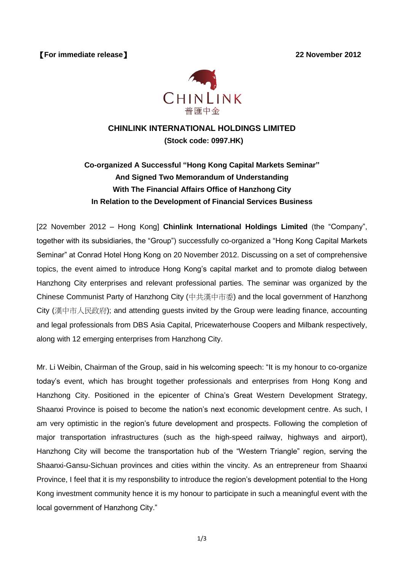【**For immediate release**】 **22 November 2012**



## **CHINLINK INTERNATIONAL HOLDINGS LIMITED (Stock code: 0997.HK)**

## **Co-organized A Successful "Hong Kong Capital Markets Seminar" And Signed Two Memorandum of Understanding With The Financial Affairs Office of Hanzhong City In Relation to the Development of Financial Services Business**

[22 November 2012 – Hong Kong] **Chinlink International Holdings Limited** (the "Company", together with its subsidiaries, the "Group") successfully co-organized a "Hong Kong Capital Markets Seminar" at Conrad Hotel Hong Kong on 20 November 2012. Discussing on a set of comprehensive topics, the event aimed to introduce Hong Kong's capital market and to promote dialog between Hanzhong City enterprises and relevant professional parties. The seminar was organized by the Chinese Communist Party of Hanzhong City (中共漢中市委) and the local government of Hanzhong City (漢中市人民政府); and attending guests invited by the Group were leading finance, accounting and legal professionals from DBS Asia Capital, Pricewaterhouse Coopers and Milbank respectively, along with 12 emerging enterprises from Hanzhong City.

Mr. Li Weibin, Chairman of the Group, said in his welcoming speech: "It is my honour to co-organize today's event, which has brought together professionals and enterprises from Hong Kong and Hanzhong City. Positioned in the epicenter of China's Great Western Development Strategy, Shaanxi Province is poised to become the nation's next economic development centre. As such, I am very optimistic in the region's future development and prospects. Following the completion of major transportation infrastructures (such as the high-speed railway, highways and airport), Hanzhong City will become the transportation hub of the "Western Triangle" region, serving the Shaanxi-Gansu-Sichuan provinces and cities within the vincity. As an entrepreneur from Shaanxi Province, I feel that it is my responsbility to introduce the region's development potential to the Hong Kong investment community hence it is my honour to participate in such a meaningful event with the local government of Hanzhong City."

1/3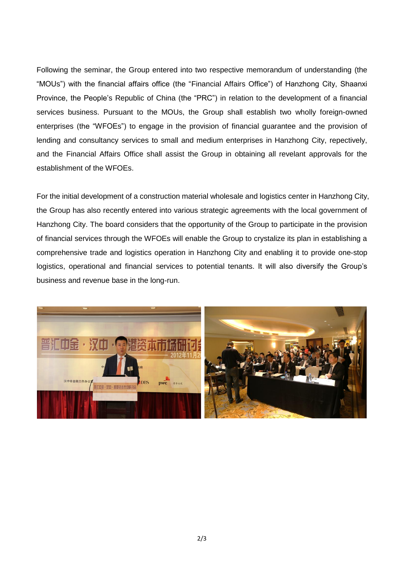Following the seminar, the Group entered into two respective memorandum of understanding (the "MOUs") with the financial affairs office (the "Financial Affairs Office") of Hanzhong City, Shaanxi Province, the People's Republic of China (the "PRC") in relation to the development of a financial services business. Pursuant to the MOUs, the Group shall establish two wholly foreign-owned enterprises (the "WFOEs") to engage in the provision of financial guarantee and the provision of lending and consultancy services to small and medium enterprises in Hanzhong City, repectively, and the Financial Affairs Office shall assist the Group in obtaining all revelant approvals for the establishment of the WFOEs.

For the initial development of a construction material wholesale and logistics center in Hanzhong City, the Group has also recently entered into various strategic agreements with the local government of Hanzhong City. The board considers that the opportunity of the Group to participate in the provision of financial services through the WFOEs will enable the Group to crystalize its plan in establishing a comprehensive trade and logistics operation in Hanzhong City and enabling it to provide one-stop logistics, operational and financial services to potential tenants. It will also diversify the Group's business and revenue base in the long-run.